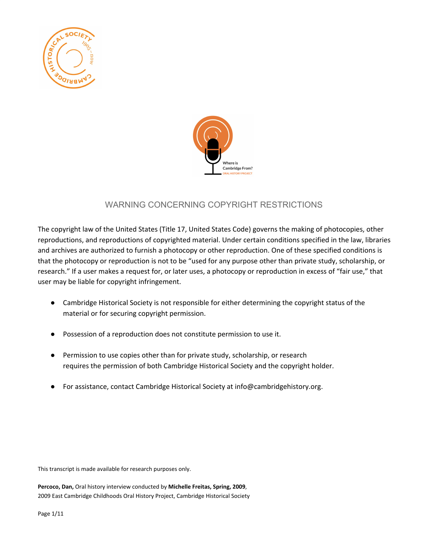



# WARNING CONCERNING COPYRIGHT RESTRICTIONS

The copyright law of the United States (Title 17, United States Code) governs the making of photocopies, other reproductions, and reproductions of copyrighted material. Under certain conditions specified in the law, libraries and archives are authorized to furnish a photocopy or other reproduction. One of these specified conditions is that the photocopy or reproduction is not to be "used for any purpose other than private study, scholarship, or research." If a user makes a request for, or later uses, a photocopy or reproduction in excess of "fair use," that user may be liable for copyright infringement.

- Cambridge Historical Society is not responsible for either determining the copyright status of the material or for securing copyright permission.
- Possession of a reproduction does not constitute permission to use it.
- Permission to use copies other than for private study, scholarship, or research requires the permission of both Cambridge Historical Society and the copyright holder.
- For assistance, contact Cambridge Historical Society at info@cambridgehistory.org.

This transcript is made available for research purposes only.

**Percoco, Dan,** Oral history interview conducted by **Michelle Freitas, Spring, 2009**, 2009 East Cambridge Childhoods Oral History Project, Cambridge Historical Society

Page 1/11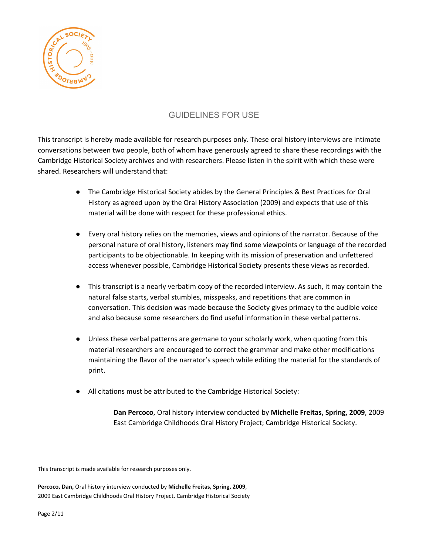

# GUIDELINES FOR USE

This transcript is hereby made available for research purposes only. These oral history interviews are intimate conversations between two people, both of whom have generously agreed to share these recordings with the Cambridge Historical Society archives and with researchers. Please listen in the spirit with which these were shared. Researchers will understand that:

- The Cambridge Historical Society abides by the General Principles & Best Practices for Oral History as agreed upon by the Oral History Association (2009) and expects that use of this material will be done with respect for these professional ethics.
- Every oral history relies on the memories, views and opinions of the narrator. Because of the personal nature of oral history, listeners may find some viewpoints or language of the recorded participants to be objectionable. In keeping with its mission of preservation and unfettered access whenever possible, Cambridge Historical Society presents these views as recorded.
- This transcript is a nearly verbatim copy of the recorded interview. As such, it may contain the natural false starts, verbal stumbles, misspeaks, and repetitions that are common in conversation. This decision was made because the Society gives primacy to the audible voice and also because some researchers do find useful information in these verbal patterns.
- Unless these verbal patterns are germane to your scholarly work, when quoting from this material researchers are encouraged to correct the grammar and make other modifications maintaining the flavor of the narrator's speech while editing the material for the standards of print.
- All citations must be attributed to the Cambridge Historical Society:

**Dan Percoco**, Oral history interview conducted by **Michelle Freitas, Spring, 2009**, 2009 East Cambridge Childhoods Oral History Project; Cambridge Historical Society.

This transcript is made available for research purposes only.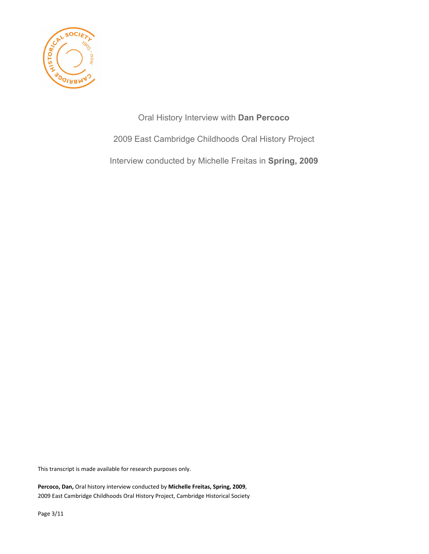

Oral History Interview with **Dan Percoco** 2009 East Cambridge Childhoods Oral History Project Interview conducted by Michelle Freitas in **Spring, 2009**

This transcript is made available for research purposes only.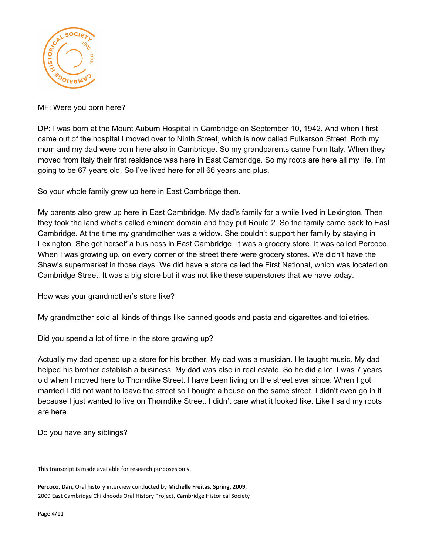

MF: Were you born here?

DP: I was born at the Mount Auburn Hospital in Cambridge on September 10, 1942. And when I first came out of the hospital I moved over to Ninth Street, which is now called Fulkerson Street. Both my mom and my dad were born here also in Cambridge. So my grandparents came from Italy. When they moved from Italy their first residence was here in East Cambridge. So my roots are here all my life. I'm going to be 67 years old. So I've lived here for all 66 years and plus.

So your whole family grew up here in East Cambridge then.

My parents also grew up here in East Cambridge. My dad's family for a while lived in Lexington. Then they took the land what's called eminent domain and they put Route 2. So the family came back to East Cambridge. At the time my grandmother was a widow. She couldn't support her family by staying in Lexington. She got herself a business in East Cambridge. It was a grocery store. It was called Percoco. When I was growing up, on every corner of the street there were grocery stores. We didn't have the Shaw's supermarket in those days. We did have a store called the First National, which was located on Cambridge Street. It was a big store but it was not like these superstores that we have today.

How was your grandmother's store like?

My grandmother sold all kinds of things like canned goods and pasta and cigarettes and toiletries.

Did you spend a lot of time in the store growing up?

Actually my dad opened up a store for his brother. My dad was a musician. He taught music. My dad helped his brother establish a business. My dad was also in real estate. So he did a lot. I was 7 years old when I moved here to Thorndike Street. I have been living on the street ever since. When I got married I did not want to leave the street so I bought a house on the same street. I didn't even go in it because I just wanted to live on Thorndike Street. I didn't care what it looked like. Like I said my roots are here.

Do you have any siblings?

This transcript is made available for research purposes only.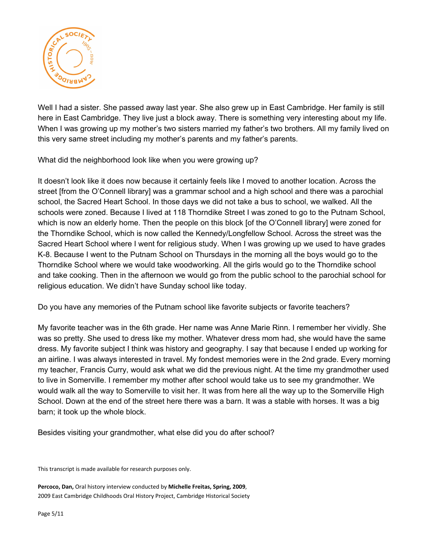

Well I had a sister. She passed away last year. She also grew up in East Cambridge. Her family is still here in East Cambridge. They live just a block away. There is something very interesting about my life. When I was growing up my mother's two sisters married my father's two brothers. All my family lived on this very same street including my mother's parents and my father's parents.

What did the neighborhood look like when you were growing up?

It doesn't look like it does now because it certainly feels like I moved to another location. Across the street [from the O'Connell library] was a grammar school and a high school and there was a parochial school, the Sacred Heart School. In those days we did not take a bus to school, we walked. All the schools were zoned. Because I lived at 118 Thorndike Street I was zoned to go to the Putnam School, which is now an elderly home. Then the people on this block [of the O'Connell library] were zoned for the Thorndike School, which is now called the Kennedy/Longfellow School. Across the street was the Sacred Heart School where I went for religious study. When I was growing up we used to have grades K-8. Because I went to the Putnam School on Thursdays in the morning all the boys would go to the Thorndike School where we would take woodworking. All the girls would go to the Thorndike school and take cooking. Then in the afternoon we would go from the public school to the parochial school for religious education. We didn't have Sunday school like today.

Do you have any memories of the Putnam school like favorite subjects or favorite teachers?

My favorite teacher was in the 6th grade. Her name was Anne Marie Rinn. I remember her vividly. She was so pretty. She used to dress like my mother. Whatever dress mom had, she would have the same dress. My favorite subject I think was history and geography. I say that because I ended up working for an airline. I was always interested in travel. My fondest memories were in the 2nd grade. Every morning my teacher, Francis Curry, would ask what we did the previous night. At the time my grandmother used to live in Somerville. I remember my mother after school would take us to see my grandmother. We would walk all the way to Somerville to visit her. It was from here all the way up to the Somerville High School. Down at the end of the street here there was a barn. It was a stable with horses. It was a big barn; it took up the whole block.

Besides visiting your grandmother, what else did you do after school?

This transcript is made available for research purposes only.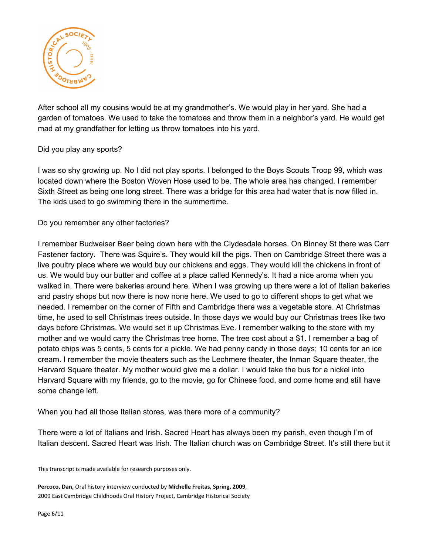

After school all my cousins would be at my grandmother's. We would play in her yard. She had a garden of tomatoes. We used to take the tomatoes and throw them in a neighbor's yard. He would get mad at my grandfather for letting us throw tomatoes into his yard.

### Did you play any sports?

I was so shy growing up. No I did not play sports. I belonged to the Boys Scouts Troop 99, which was located down where the Boston Woven Hose used to be. The whole area has changed. I remember Sixth Street as being one long street. There was a bridge for this area had water that is now filled in. The kids used to go swimming there in the summertime.

### Do you remember any other factories?

I remember Budweiser Beer being down here with the Clydesdale horses. On Binney St there was Carr Fastener factory. There was Squire's. They would kill the pigs. Then on Cambridge Street there was a live poultry place where we would buy our chickens and eggs. They would kill the chickens in front of us. We would buy our butter and coffee at a place called Kennedy's. It had a nice aroma when you walked in. There were bakeries around here. When I was growing up there were a lot of Italian bakeries and pastry shops but now there is now none here. We used to go to different shops to get what we needed. I remember on the corner of Fifth and Cambridge there was a vegetable store. At Christmas time, he used to sell Christmas trees outside. In those days we would buy our Christmas trees like two days before Christmas. We would set it up Christmas Eve. I remember walking to the store with my mother and we would carry the Christmas tree home. The tree cost about a \$1. I remember a bag of potato chips was 5 cents, 5 cents for a pickle. We had penny candy in those days; 10 cents for an ice cream. I remember the movie theaters such as the Lechmere theater, the Inman Square theater, the Harvard Square theater. My mother would give me a dollar. I would take the bus for a nickel into Harvard Square with my friends, go to the movie, go for Chinese food, and come home and still have some change left.

When you had all those Italian stores, was there more of a community?

There were a lot of Italians and Irish. Sacred Heart has always been my parish, even though I'm of Italian descent. Sacred Heart was Irish. The Italian church was on Cambridge Street. It's still there but it

This transcript is made available for research purposes only.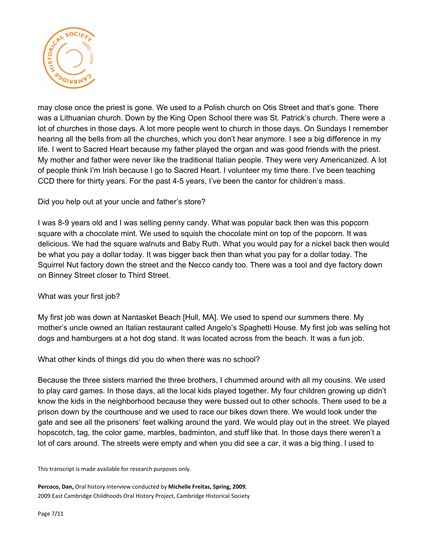

may close once the priest is gone. We used to a Polish church on Otis Street and that's gone. There was a Lithuanian church. Down by the King Open School there was St. Patrick's church. There were a lot of churches in those days. A lot more people went to church in those days. On Sundays I remember hearing all the bells from all the churches, which you don't hear anymore. I see a big difference in my life. I went to Sacred Heart because my father played the organ and was good friends with the priest. My mother and father were never like the traditional Italian people. They were very Americanized. A lot of people think I'm Irish because I go to Sacred Heart. I volunteer my time there. I've been teaching CCD there for thirty years. For the past 4-5 years, I've been the cantor for children's mass.

#### Did you help out at your uncle and father's store?

I was 8-9 years old and I was selling penny candy. What was popular back then was this popcorn square with a chocolate mint. We used to squish the chocolate mint on top of the popcorn. It was delicious. We had the square walnuts and Baby Ruth. What you would pay for a nickel back then would be what you pay a dollar today. It was bigger back then than what you pay for a dollar today. The Squirrel Nut factory down the street and the Necco candy too. There was a tool and dye factory down on Binney Street closer to Third Street.

#### What was your first job?

My first job was down at Nantasket Beach [Hull, MA]. We used to spend our summers there. My mother's uncle owned an Italian restaurant called Angelo's Spaghetti House. My first job was selling hot dogs and hamburgers at a hot dog stand. It was located across from the beach. It was a fun job.

What other kinds of things did you do when there was no school?

Because the three sisters married the three brothers, I chummed around with all my cousins. We used to play card games. In those days, all the local kids played together. My four children growing up didn't know the kids in the neighborhood because they were bussed out to other schools. There used to be a prison down by the courthouse and we used to race our bikes down there. We would look under the gate and see all the prisoners' feet walking around the yard. We would play out in the street. We played hopscotch, tag, the color game, marbles, badminton, and stuff like that. In those days there weren't a lot of cars around. The streets were empty and when you did see a car, it was a big thing. I used to

This transcript is made available for research purposes only.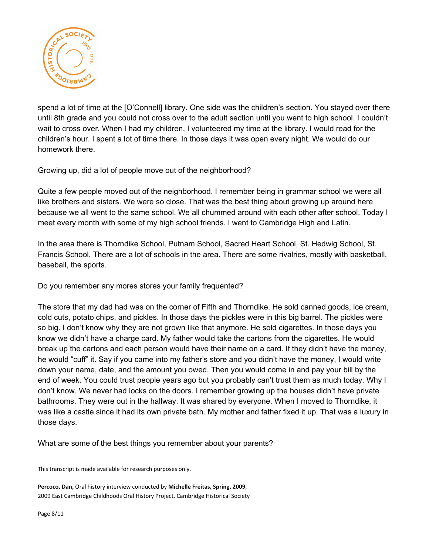

spend a lot of time at the [O'Connell] library. One side was the children's section. You stayed over there until 8th grade and you could not cross over to the adult section until you went to high school. I couldn't wait to cross over. When I had my children, I volunteered my time at the library. I would read for the children's hour. I spent a lot of time there. In those days it was open every night. We would do our homework there.

Growing up, did a lot of people move out of the neighborhood?

Quite a few people moved out of the neighborhood. I remember being in grammar school we were all like brothers and sisters. We were so close. That was the best thing about growing up around here because we all went to the same school. We all chummed around with each other after school. Today I meet every month with some of my high school friends. I went to Cambridge High and Latin.

In the area there is Thorndike School, Putnam School, Sacred Heart School, St. Hedwig School, St. Francis School. There are a lot of schools in the area. There are some rivalries, mostly with basketball, baseball, the sports.

Do you remember any mores stores your family frequented?

The store that my dad had was on the corner of Fifth and Thorndike. He sold canned goods, ice cream, cold cuts, potato chips, and pickles. In those days the pickles were in this big barrel. The pickles were so big. I don't know why they are not grown like that anymore. He sold cigarettes. In those days you know we didn't have a charge card. My father would take the cartons from the cigarettes. He would break up the cartons and each person would have their name on a card. If they didn't have the money, he would "cuff" it. Say if you came into my father's store and you didn't have the money, I would write down your name, date, and the amount you owed. Then you would come in and pay your bill by the end of week. You could trust people years ago but you probably can't trust them as much today. Why I don't know. We never had locks on the doors. I remember growing up the houses didn't have private bathrooms. They were out in the hallway. It was shared by everyone. When I moved to Thorndike, it was like a castle since it had its own private bath. My mother and father fixed it up. That was a luxury in those days.

What are some of the best things you remember about your parents?

This transcript is made available for research purposes only.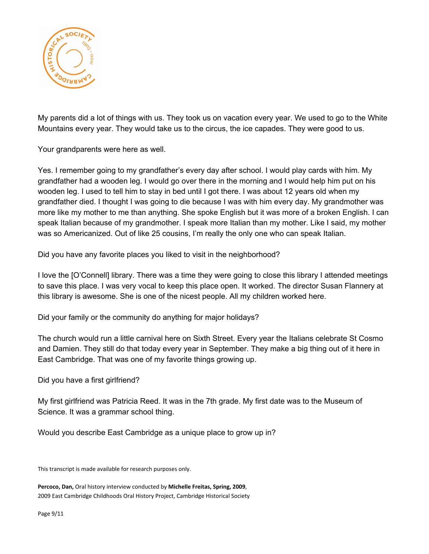

My parents did a lot of things with us. They took us on vacation every year. We used to go to the White Mountains every year. They would take us to the circus, the ice capades. They were good to us.

Your grandparents were here as well.

Yes. I remember going to my grandfather's every day after school. I would play cards with him. My grandfather had a wooden leg. I would go over there in the morning and I would help him put on his wooden leg. I used to tell him to stay in bed until I got there. I was about 12 years old when my grandfather died. I thought I was going to die because I was with him every day. My grandmother was more like my mother to me than anything. She spoke English but it was more of a broken English. I can speak Italian because of my grandmother. I speak more Italian than my mother. Like I said, my mother was so Americanized. Out of like 25 cousins, I'm really the only one who can speak Italian.

Did you have any favorite places you liked to visit in the neighborhood?

I love the [O'Connell] library. There was a time they were going to close this library I attended meetings to save this place. I was very vocal to keep this place open. It worked. The director Susan Flannery at this library is awesome. She is one of the nicest people. All my children worked here.

Did your family or the community do anything for major holidays?

The church would run a little carnival here on Sixth Street. Every year the Italians celebrate St Cosmo and Damien. They still do that today every year in September. They make a big thing out of it here in East Cambridge. That was one of my favorite things growing up.

Did you have a first girlfriend?

My first girlfriend was Patricia Reed. It was in the 7th grade. My first date was to the Museum of Science. It was a grammar school thing.

Would you describe East Cambridge as a unique place to grow up in?

This transcript is made available for research purposes only.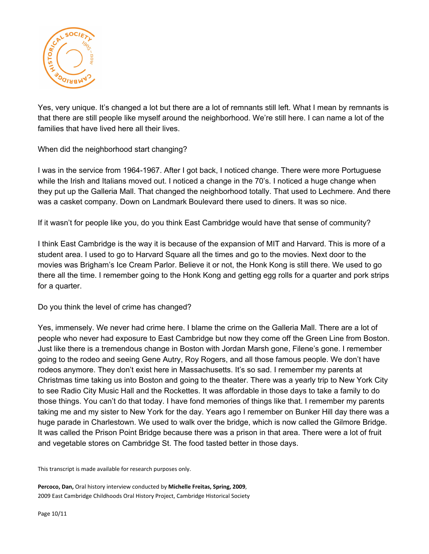

Yes, very unique. It's changed a lot but there are a lot of remnants still left. What I mean by remnants is that there are still people like myself around the neighborhood. We're still here. I can name a lot of the families that have lived here all their lives.

When did the neighborhood start changing?

I was in the service from 1964-1967. After I got back, I noticed change. There were more Portuguese while the Irish and Italians moved out. I noticed a change in the 70's. I noticed a huge change when they put up the Galleria Mall. That changed the neighborhood totally. That used to Lechmere. And there was a casket company. Down on Landmark Boulevard there used to diners. It was so nice.

If it wasn't for people like you, do you think East Cambridge would have that sense of community?

I think East Cambridge is the way it is because of the expansion of MIT and Harvard. This is more of a student area. I used to go to Harvard Square all the times and go to the movies. Next door to the movies was Brigham's Ice Cream Parlor. Believe it or not, the Honk Kong is still there. We used to go there all the time. I remember going to the Honk Kong and getting egg rolls for a quarter and pork strips for a quarter.

Do you think the level of crime has changed?

Yes, immensely. We never had crime here. I blame the crime on the Galleria Mall. There are a lot of people who never had exposure to East Cambridge but now they come off the Green Line from Boston. Just like there is a tremendous change in Boston with Jordan Marsh gone, Filene's gone. I remember going to the rodeo and seeing Gene Autry, Roy Rogers, and all those famous people. We don't have rodeos anymore. They don't exist here in Massachusetts. It's so sad. I remember my parents at Christmas time taking us into Boston and going to the theater. There was a yearly trip to New York City to see Radio City Music Hall and the Rockettes. It was affordable in those days to take a family to do those things. You can't do that today. I have fond memories of things like that. I remember my parents taking me and my sister to New York for the day. Years ago I remember on Bunker Hill day there was a huge parade in Charlestown. We used to walk over the bridge, which is now called the Gilmore Bridge. It was called the Prison Point Bridge because there was a prison in that area. There were a lot of fruit and vegetable stores on Cambridge St. The food tasted better in those days.

This transcript is made available for research purposes only.